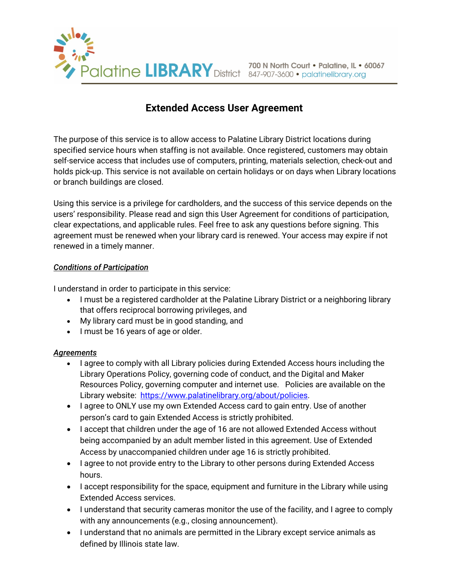

## **Extended Access User Agreement**

The purpose of this service is to allow access to Palatine Library District locations during specified service hours when staffing is not available. Once registered, customers may obtain self-service access that includes use of computers, printing, materials selection, check-out and holds pick-up. This service is not available on certain holidays or on days when Library locations or branch buildings are closed.

Using this service is a privilege for cardholders, and the success of this service depends on the users' responsibility. Please read and sign this User Agreement for conditions of participation, clear expectations, and applicable rules. Feel free to ask any questions before signing. This agreement must be renewed when your library card is renewed. Your access may expire if not renewed in a timely manner.

## *Conditions of Participation*

I understand in order to participate in this service:

- I must be a registered cardholder at the Palatine Library District or a neighboring library that offers reciprocal borrowing privileges, and
- My library card must be in good standing, and
- I must be 16 years of age or older.

## *Agreements*

- I agree to comply with all Library policies during Extended Access hours including the Library Operations Policy, governing code of conduct, and the Digital and Maker Resources Policy, governing computer and internet use. Policies are available on the Library website: https://www.palatinelibrary.org/about/policies.
- I agree to ONLY use my own Extended Access card to gain entry. Use of another person's card to gain Extended Access is strictly prohibited.
- I accept that children under the age of 16 are not allowed Extended Access without being accompanied by an adult member listed in this agreement. Use of Extended Access by unaccompanied children under age 16 is strictly prohibited.
- I agree to not provide entry to the Library to other persons during Extended Access hours.
- I accept responsibility for the space, equipment and furniture in the Library while using Extended Access services.
- I understand that security cameras monitor the use of the facility, and I agree to comply with any announcements (e.g., closing announcement).
- I understand that no animals are permitted in the Library except service animals as defined by Illinois state law.